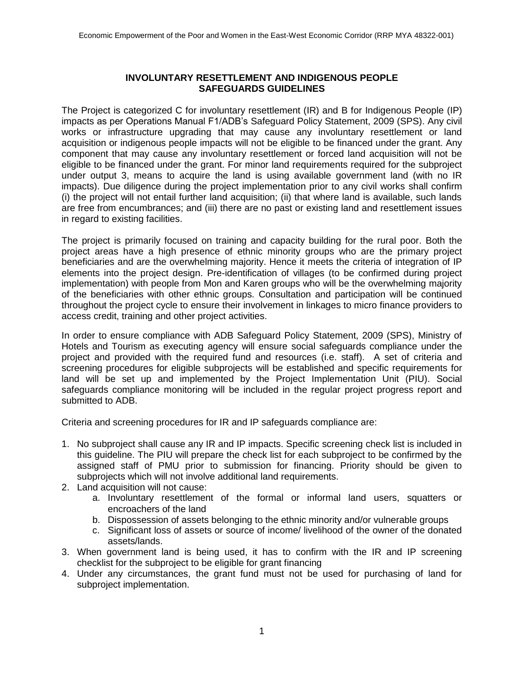## **INVOLUNTARY RESETTLEMENT AND INDIGENOUS PEOPLE SAFEGUARDS GUIDELINES**

The Project is categorized C for involuntary resettlement (IR) and B for Indigenous People (IP) impacts as per Operations Manual F1/ADB's Safeguard Policy Statement, 2009 (SPS). Any civil works or infrastructure upgrading that may cause any involuntary resettlement or land acquisition or indigenous people impacts will not be eligible to be financed under the grant. Any component that may cause any involuntary resettlement or forced land acquisition will not be eligible to be financed under the grant. For minor land requirements required for the subproject under output 3, means to acquire the land is using available government land (with no IR impacts). Due diligence during the project implementation prior to any civil works shall confirm (i) the project will not entail further land acquisition; (ii) that where land is available, such lands are free from encumbrances; and (iii) there are no past or existing land and resettlement issues in regard to existing facilities.

The project is primarily focused on training and capacity building for the rural poor. Both the project areas have a high presence of ethnic minority groups who are the primary project beneficiaries and are the overwhelming majority. Hence it meets the criteria of integration of IP elements into the project design. Pre-identification of villages (to be confirmed during project implementation) with people from Mon and Karen groups who will be the overwhelming majority of the beneficiaries with other ethnic groups. Consultation and participation will be continued throughout the project cycle to ensure their involvement in linkages to micro finance providers to access credit, training and other project activities.

In order to ensure compliance with ADB Safeguard Policy Statement, 2009 (SPS), Ministry of Hotels and Tourism as executing agency will ensure social safeguards compliance under the project and provided with the required fund and resources (i.e. staff). A set of criteria and screening procedures for eligible subprojects will be established and specific requirements for land will be set up and implemented by the Project Implementation Unit (PIU). Social safeguards compliance monitoring will be included in the regular project progress report and submitted to ADB.

Criteria and screening procedures for IR and IP safeguards compliance are:

- 1. No subproject shall cause any IR and IP impacts. Specific screening check list is included in this guideline. The PIU will prepare the check list for each subproject to be confirmed by the assigned staff of PMU prior to submission for financing. Priority should be given to subprojects which will not involve additional land requirements.
- 2. Land acquisition will not cause:
	- a. Involuntary resettlement of the formal or informal land users, squatters or encroachers of the land
	- b. Dispossession of assets belonging to the ethnic minority and/or vulnerable groups
	- c. Significant loss of assets or source of income/ livelihood of the owner of the donated assets/lands.
- 3. When government land is being used, it has to confirm with the IR and IP screening checklist for the subproject to be eligible for grant financing
- 4. Under any circumstances, the grant fund must not be used for purchasing of land for subproject implementation.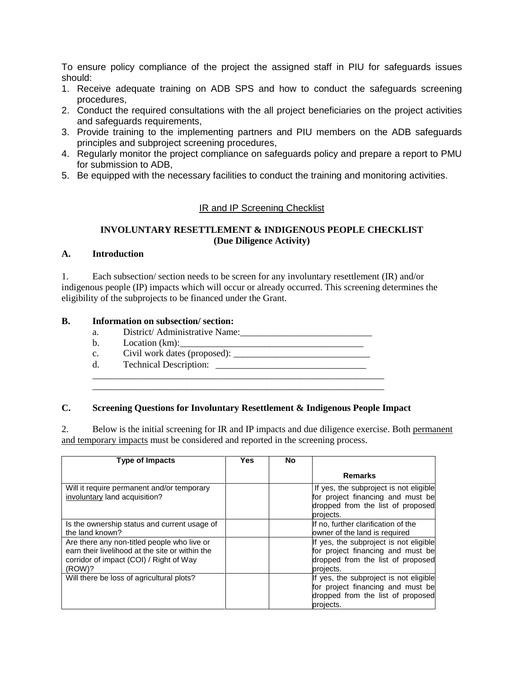To ensure policy compliance of the project the assigned staff in PIU for safeguards issues should:

- 1. Receive adequate training on ADB SPS and how to conduct the safeguards screening procedures,
- 2. Conduct the required consultations with the all project beneficiaries on the project activities and safeguards requirements,
- 3. Provide training to the implementing partners and PIU members on the ADB safeguards principles and subproject screening procedures,
- 4. Regularly monitor the project compliance on safeguards policy and prepare a report to PMU for submission to ADB,
- 5. Be equipped with the necessary facilities to conduct the training and monitoring activities.

## IR and IP Screening Checklist

### **INVOLUNTARY RESETTLEMENT & INDIGENOUS PEOPLE CHECKLIST (Due Diligence Activity)**

### **A. Introduction**

1. Each subsection/ section needs to be screen for any involuntary resettlement (IR) and/or indigenous people (IP) impacts which will occur or already occurred. This screening determines the eligibility of the subprojects to be financed under the Grant.

#### **B. Information on subsection/ section:**

- a. District/ Administrative Name:\_\_\_\_\_\_\_\_\_\_\_\_\_\_\_\_\_\_\_\_\_\_\_\_\_\_\_\_
- b. Location  $(km)$ :
- c. Civil work dates (proposed):
- d. Technical Description:

#### **C. Screening Questions for Involuntary Resettlement & Indigenous People Impact**

\_\_\_\_\_\_\_\_\_\_\_\_\_\_\_\_\_\_\_\_\_\_\_\_\_\_\_\_\_\_\_\_\_\_\_\_\_\_\_\_\_\_\_\_\_\_\_\_\_\_\_\_\_\_\_\_\_\_\_\_\_\_ \_\_\_\_\_\_\_\_\_\_\_\_\_\_\_\_\_\_\_\_\_\_\_\_\_\_\_\_\_\_\_\_\_\_\_\_\_\_\_\_\_\_\_\_\_\_\_\_\_\_\_\_\_\_\_\_\_\_\_\_\_\_

2. Below is the initial screening for IR and IP impacts and due diligence exercise. Both permanent and temporary impacts must be considered and reported in the screening process.

| <b>Type of Impacts</b>                                                                                                                              | Yes | No |                                                                                                                               |
|-----------------------------------------------------------------------------------------------------------------------------------------------------|-----|----|-------------------------------------------------------------------------------------------------------------------------------|
|                                                                                                                                                     |     |    | <b>Remarks</b>                                                                                                                |
| Will it require permanent and/or temporary<br>involuntary land acquisition?                                                                         |     |    | If yes, the subproject is not eligible<br>for project financing and must be<br>dropped from the list of proposed<br>projects. |
| Is the ownership status and current usage of<br>the land known?                                                                                     |     |    | If no, further clarification of the<br>owner of the land is required                                                          |
| Are there any non-titled people who live or<br>earn their livelihood at the site or within the<br>corridor of impact (COI) / Right of Way<br>(ROW)? |     |    | If yes, the subproject is not eligible<br>for project financing and must be<br>dropped from the list of proposed<br>projects. |
| Will there be loss of agricultural plots?                                                                                                           |     |    | If yes, the subproject is not eligible<br>for project financing and must be<br>dropped from the list of proposed<br>projects. |